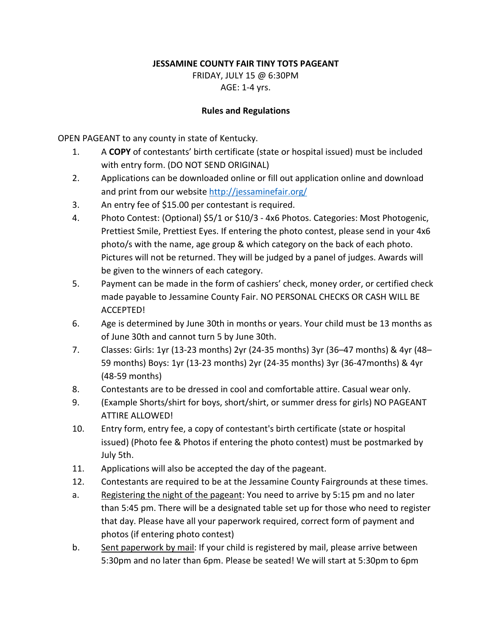### **JESSAMINE COUNTY FAIR TINY TOTS PAGEANT**

FRIDAY, JULY 15 @ 6:30PM AGE: 1-4 yrs.

### **Rules and Regulations**

OPEN PAGEANT to any county in state of Kentucky.

- 1. A **COPY** of contestants' birth certificate (state or hospital issued) must be included with entry form. (DO NOT SEND ORIGINAL)
- 2. Applications can be downloaded online or fill out application online and download and print from our website<http://jessaminefair.org/>
- 3. An entry fee of \$15.00 per contestant is required.
- 4. Photo Contest: (Optional) \$5/1 or \$10/3 4x6 Photos. Categories: Most Photogenic, Prettiest Smile, Prettiest Eyes. If entering the photo contest, please send in your 4x6 photo/s with the name, age group & which category on the back of each photo. Pictures will not be returned. They will be judged by a panel of judges. Awards will be given to the winners of each category.
- 5. Payment can be made in the form of cashiers' check, money order, or certified check made payable to Jessamine County Fair. NO PERSONAL CHECKS OR CASH WILL BE ACCEPTED!
- 6. Age is determined by June 30th in months or years. Your child must be 13 months as of June 30th and cannot turn 5 by June 30th.
- 7. Classes: Girls: 1yr (13-23 months) 2yr (24-35 months) 3yr (36–47 months) & 4yr (48– 59 months) Boys: 1yr (13-23 months) 2yr (24-35 months) 3yr (36-47months) & 4yr (48-59 months)
- 8. Contestants are to be dressed in cool and comfortable attire. Casual wear only.
- 9. (Example Shorts/shirt for boys, short/shirt, or summer dress for girls) NO PAGEANT ATTIRE ALLOWED!
- 10. Entry form, entry fee, a copy of contestant's birth certificate (state or hospital issued) (Photo fee & Photos if entering the photo contest) must be postmarked by July 5th.
- 11. Applications will also be accepted the day of the pageant.
- 12. Contestants are required to be at the Jessamine County Fairgrounds at these times.
- a. Registering the night of the pageant: You need to arrive by 5:15 pm and no later than 5:45 pm. There will be a designated table set up for those who need to register that day. Please have all your paperwork required, correct form of payment and photos (if entering photo contest)
- b. Sent paperwork by mail: If your child is registered by mail, please arrive between 5:30pm and no later than 6pm. Please be seated! We will start at 5:30pm to 6pm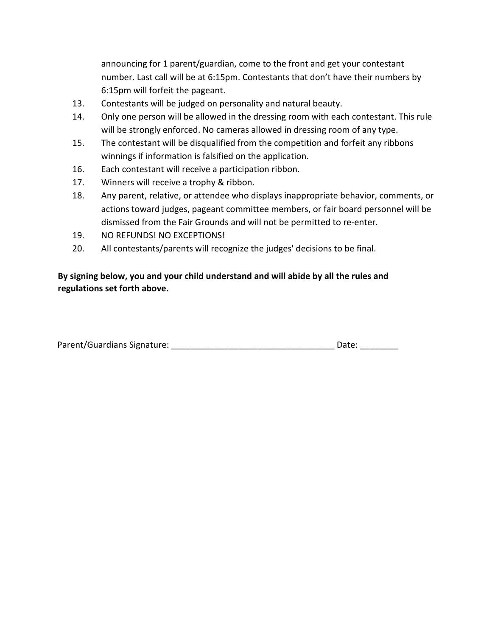announcing for 1 parent/guardian, come to the front and get your contestant number. Last call will be at 6:15pm. Contestants that don't have their numbers by 6:15pm will forfeit the pageant.

- 13. Contestants will be judged on personality and natural beauty.
- 14. Only one person will be allowed in the dressing room with each contestant. This rule will be strongly enforced. No cameras allowed in dressing room of any type.
- 15. The contestant will be disqualified from the competition and forfeit any ribbons winnings if information is falsified on the application.
- 16. Each contestant will receive a participation ribbon.
- 17. Winners will receive a trophy & ribbon.
- 18. Any parent, relative, or attendee who displays inappropriate behavior, comments, or actions toward judges, pageant committee members, or fair board personnel will be dismissed from the Fair Grounds and will not be permitted to re-enter.
- 19. NO REFUNDS! NO EXCEPTIONS!
- 20. All contestants/parents will recognize the judges' decisions to be final.

# **By signing below, you and your child understand and will abide by all the rules and regulations set forth above.**

| Parent/Guardians Signature: | Date: |
|-----------------------------|-------|
|                             |       |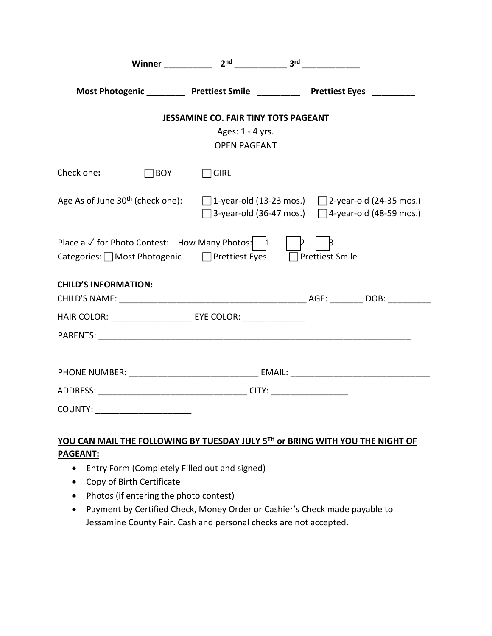| Winner ___________                                                                                                       | 2 <sup>nd</sup>                      | 3 <sup>rd</sup> |                                                               |
|--------------------------------------------------------------------------------------------------------------------------|--------------------------------------|-----------------|---------------------------------------------------------------|
| Most Photogenic <b>Reading Prettiest Smile</b> Prettiest Eyes                                                            |                                      |                 |                                                               |
|                                                                                                                          | JESSAMINE CO. FAIR TINY TOTS PAGEANT |                 |                                                               |
|                                                                                                                          | Ages: 1 - 4 yrs.                     |                 |                                                               |
|                                                                                                                          | <b>OPEN PAGEANT</b>                  |                 |                                                               |
| Check one:<br>$\sqcap$ BOY                                                                                               | $\Box$ GIRL                          |                 |                                                               |
| Age As of June 30 <sup>th</sup> (check one): $\Box$ 1-year-old (13-23 mos.) $\Box$ 2-year-old (24-35 mos.)               |                                      |                 | $\Box$ 3-year-old (36-47 mos.) $\Box$ 4-year-old (48-59 mos.) |
| Place a $\sqrt{ }$ for Photo Contest: How Many Photos: $\mu$<br>Categories: $\Box$ Most Photogenic $\Box$ Prettiest Eyes |                                      |                 | $\Box$ Prettiest Smile                                        |
| <b>CHILD'S INFORMATION:</b>                                                                                              |                                      |                 |                                                               |
|                                                                                                                          |                                      |                 |                                                               |
| HAIR COLOR: ______________________________ EYE COLOR: __________________________                                         |                                      |                 |                                                               |
|                                                                                                                          |                                      |                 |                                                               |
|                                                                                                                          |                                      |                 |                                                               |
|                                                                                                                          |                                      |                 |                                                               |
| COUNTY: __________________                                                                                               |                                      |                 |                                                               |
| YOU CAN MAIL THE FOLLOWING BY TUESDAY JULY 5TH OF BRING WITH YOU THE NIGHT OF                                            |                                      |                 |                                                               |

# **YOU CAN MAIL THE FOLLOWING BY TUESDAY JULY 5TH or BRING WITH YOU THE NIGHT OF PAGEANT:**

- Entry Form (Completely Filled out and signed)
- Copy of Birth Certificate
- Photos (if entering the photo contest)
- Payment by Certified Check, Money Order or Cashier's Check made payable to Jessamine County Fair. Cash and personal checks are not accepted.